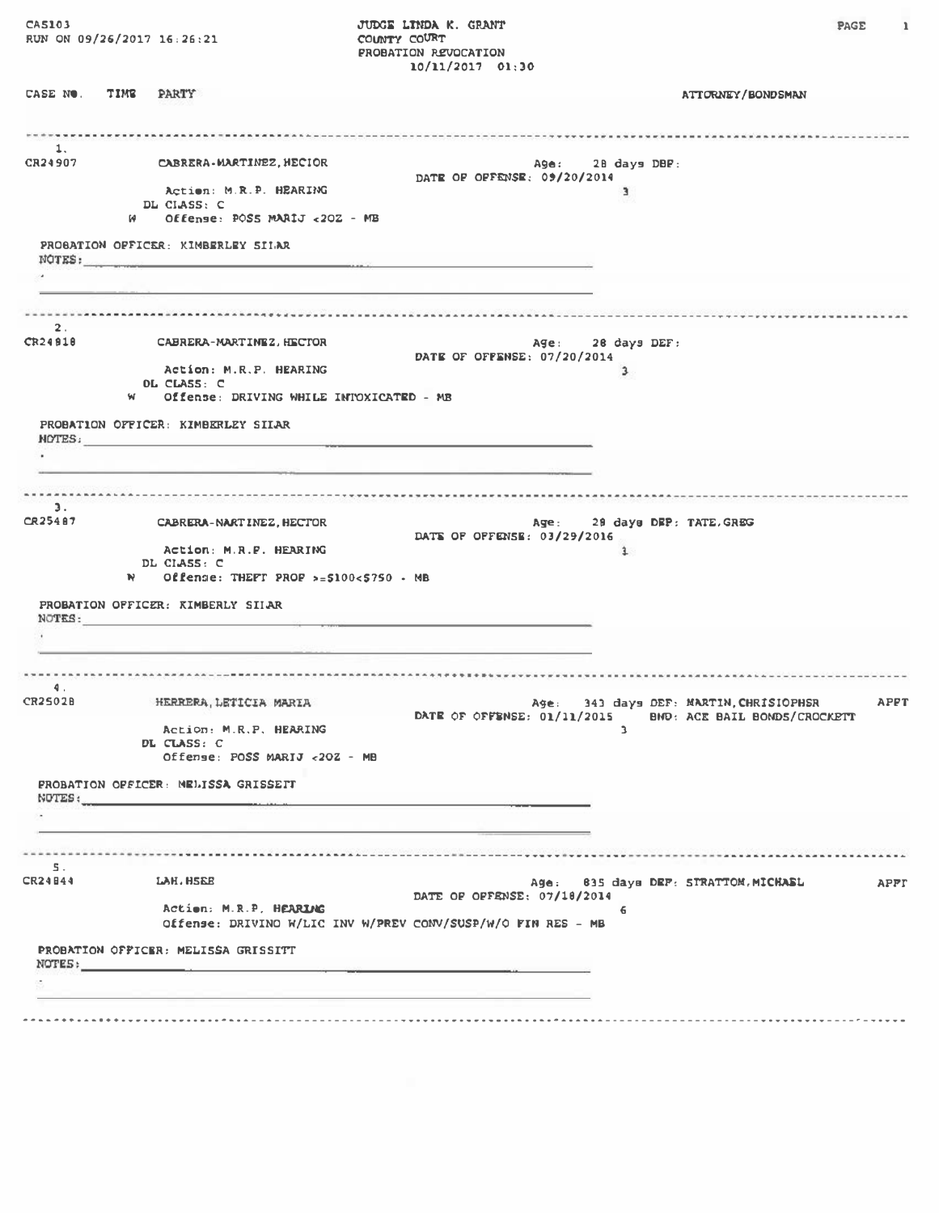CA5103 RUN ON 09/26/2017 16:26:21

JUDGE LINDA K. GRANT COUNTY COURT **PROBATION REVOCATION**  $10/11/2017$  01:30 **PAGE** 

 $\mathbf{1}$ 

CASE NO. TIME PARTY **ATTORNEY/BONDSMAN**  $\mathbf{1}$ . CABRERA-MARTINEZ, HECIOR CR24907 Age: 28 days DBP: DATE OF OFFENSE: 09/20/2014 Action: M.R.P. HEARING DL CIASS: C W Offense: POSS MARIJ <202 - MB PROGATION OFFICER: KIMBERLEY SILAR NOTES: ü.  $\overline{2}$ . CR24910 CABRERA-MARTINEZ.HECTOR Age: 28 days DEF: DATE OF OFFENSE: 07/20/2014 Action: M.R.P. HEARING  $\overline{a}$ OL CLASS: C Offense: DRIVING WHILE INTOXICATED - MB w. PROBATION OFFICER: KIMBERLEY SILAR NOTES:  $\sim$  $3.$ CR25487 CABRERA-NART INEZ, HECTOR Age: 29 days DEP: TATE.GREG DATE OF OFFENSE: 03/29/2016 Action: M.R.P. HEARING  $\mathbf{1}$ DL CIASS: C Offense: THEFT PROF >= $$100<$750$  . MB  $\mathbf{M}$ PROBATION OFFICER: KIMBERLY SILAR NOTES:  $\mathbf{d}$ . **CR2502B** HERRERA, LETICIA MARIA Age: 343 days DEF: MARTIN, CHRISIOPHSR APPT DATE OF OFFENSE: 01/11/2015 BMD: ACE BAIL BONDS/CROCKETT  $\mathbf{A}$ Action: M.R.P. HEARING DL CLASS: C Offense: POSS MARIJ <20Z - MB PROBATION OFFICER: MELISSA GRISSETT NOTES: ×.  $\mathbb{R}$ CR24844 LAH. HSEE Age: 835 days DEF: STRATTOM, MICHASL APPT DATE OF OFFENSE: 07/18/2014 Action: M.R.P. HEARING Offense: DRIVINO W/LIC INV W/PREV CONV/SUSP/W/O FIN RES - MB PROBATION OFFICER: MELISSA GRISSITT NOTES: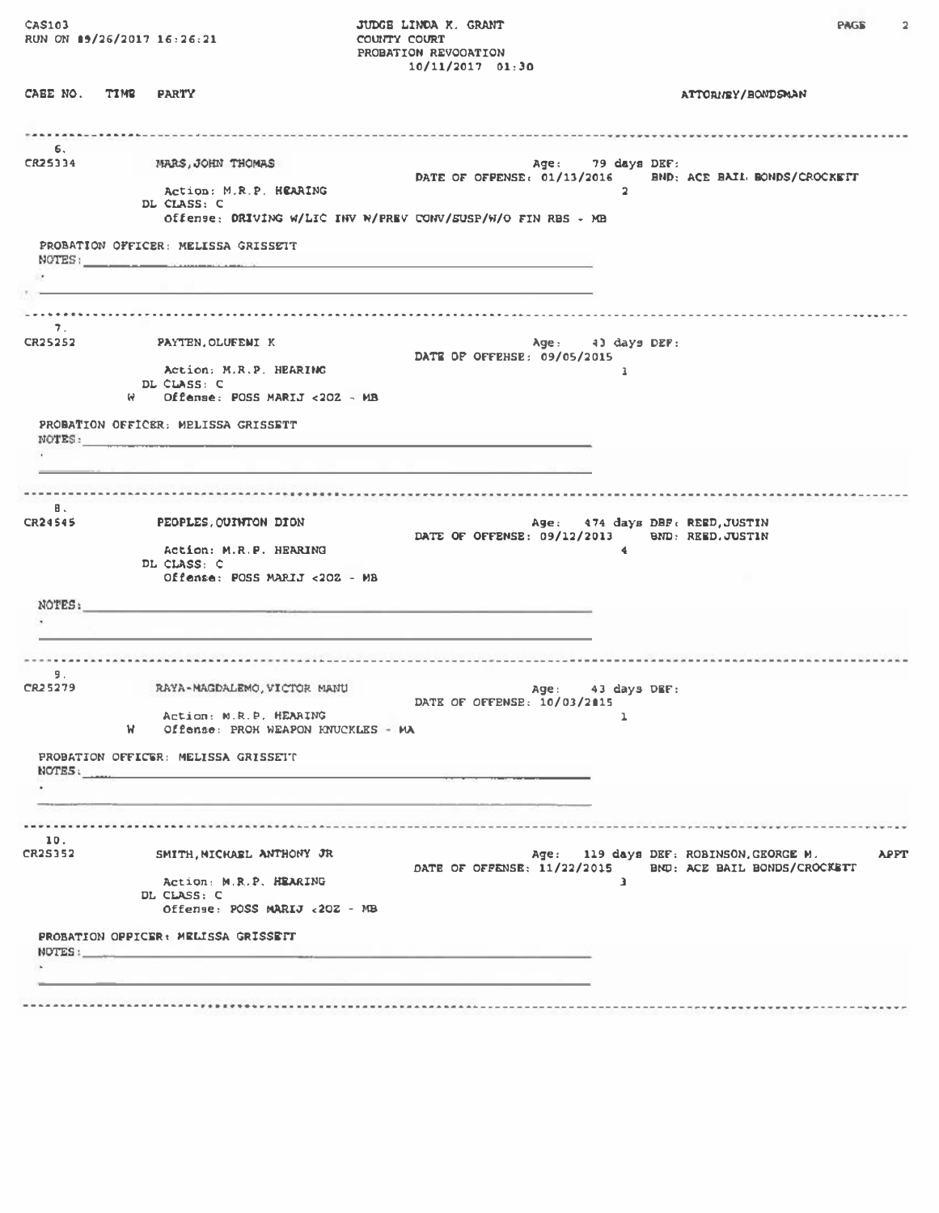CAS103<br>RUN ON 09/26/2017 16:26:21

CABE NO. TIME PARTY

**JUDGE LINDA K. GRANT**<br>COUNTY COURT PROBATION REVOORTION<br>10/11/2017 01:30

ATTORNEY/BONDSMAN

| MARS, JOHN THOMAS                                                      |                                           |                                                                                                                                                                                                                                                                                |                                                                                                                                                                                                                                                                                               |                                                                                                                                               |                                                                                                                                                                                                                                                                                       |
|------------------------------------------------------------------------|-------------------------------------------|--------------------------------------------------------------------------------------------------------------------------------------------------------------------------------------------------------------------------------------------------------------------------------|-----------------------------------------------------------------------------------------------------------------------------------------------------------------------------------------------------------------------------------------------------------------------------------------------|-----------------------------------------------------------------------------------------------------------------------------------------------|---------------------------------------------------------------------------------------------------------------------------------------------------------------------------------------------------------------------------------------------------------------------------------------|
| Action: M.R.P. HEARING<br>DL CLASS: C                                  |                                           |                                                                                                                                                                                                                                                                                |                                                                                                                                                                                                                                                                                               |                                                                                                                                               |                                                                                                                                                                                                                                                                                       |
|                                                                        |                                           |                                                                                                                                                                                                                                                                                |                                                                                                                                                                                                                                                                                               |                                                                                                                                               |                                                                                                                                                                                                                                                                                       |
| PROBATION OFFICER: MELISSA GRISSETT                                    |                                           |                                                                                                                                                                                                                                                                                |                                                                                                                                                                                                                                                                                               |                                                                                                                                               |                                                                                                                                                                                                                                                                                       |
|                                                                        |                                           |                                                                                                                                                                                                                                                                                |                                                                                                                                                                                                                                                                                               |                                                                                                                                               |                                                                                                                                                                                                                                                                                       |
|                                                                        |                                           |                                                                                                                                                                                                                                                                                |                                                                                                                                                                                                                                                                                               |                                                                                                                                               |                                                                                                                                                                                                                                                                                       |
|                                                                        |                                           |                                                                                                                                                                                                                                                                                |                                                                                                                                                                                                                                                                                               |                                                                                                                                               |                                                                                                                                                                                                                                                                                       |
| CR25252 PAYTEN, OLUFENI K                                              |                                           |                                                                                                                                                                                                                                                                                |                                                                                                                                                                                                                                                                                               |                                                                                                                                               |                                                                                                                                                                                                                                                                                       |
| Action: M.R.P. HEARING<br>DL CLASS: C                                  |                                           |                                                                                                                                                                                                                                                                                | $\mathbf{1}$                                                                                                                                                                                                                                                                                  |                                                                                                                                               |                                                                                                                                                                                                                                                                                       |
| $W$ Offense: POSS MARIJ <202 - MB                                      |                                           |                                                                                                                                                                                                                                                                                |                                                                                                                                                                                                                                                                                               |                                                                                                                                               |                                                                                                                                                                                                                                                                                       |
| PROBATION OFFICER: MELISSA GRISSETT                                    |                                           |                                                                                                                                                                                                                                                                                |                                                                                                                                                                                                                                                                                               |                                                                                                                                               |                                                                                                                                                                                                                                                                                       |
|                                                                        |                                           |                                                                                                                                                                                                                                                                                |                                                                                                                                                                                                                                                                                               |                                                                                                                                               |                                                                                                                                                                                                                                                                                       |
|                                                                        |                                           |                                                                                                                                                                                                                                                                                |                                                                                                                                                                                                                                                                                               |                                                                                                                                               |                                                                                                                                                                                                                                                                                       |
| PEOPLES, QUINTON DION                                                  |                                           |                                                                                                                                                                                                                                                                                |                                                                                                                                                                                                                                                                                               |                                                                                                                                               |                                                                                                                                                                                                                                                                                       |
| Action: M.R.P. HEARING<br>DL CLASS: C<br>Offense: POSS MARIJ <202 - MB |                                           |                                                                                                                                                                                                                                                                                | $\blacktriangleleft$                                                                                                                                                                                                                                                                          |                                                                                                                                               |                                                                                                                                                                                                                                                                                       |
|                                                                        |                                           |                                                                                                                                                                                                                                                                                |                                                                                                                                                                                                                                                                                               |                                                                                                                                               |                                                                                                                                                                                                                                                                                       |
|                                                                        |                                           |                                                                                                                                                                                                                                                                                |                                                                                                                                                                                                                                                                                               |                                                                                                                                               |                                                                                                                                                                                                                                                                                       |
|                                                                        |                                           |                                                                                                                                                                                                                                                                                |                                                                                                                                                                                                                                                                                               |                                                                                                                                               |                                                                                                                                                                                                                                                                                       |
|                                                                        |                                           |                                                                                                                                                                                                                                                                                |                                                                                                                                                                                                                                                                                               |                                                                                                                                               |                                                                                                                                                                                                                                                                                       |
| RAYA-MAGDALEMO, VICTOR MANU                                            |                                           |                                                                                                                                                                                                                                                                                |                                                                                                                                                                                                                                                                                               |                                                                                                                                               |                                                                                                                                                                                                                                                                                       |
| Action: M.R.P. HEARING<br>W.                                           |                                           |                                                                                                                                                                                                                                                                                |                                                                                                                                                                                                                                                                                               |                                                                                                                                               |                                                                                                                                                                                                                                                                                       |
| PROBATION OFFICER: MELISSA GRISSETT                                    |                                           |                                                                                                                                                                                                                                                                                |                                                                                                                                                                                                                                                                                               |                                                                                                                                               |                                                                                                                                                                                                                                                                                       |
|                                                                        |                                           |                                                                                                                                                                                                                                                                                |                                                                                                                                                                                                                                                                                               |                                                                                                                                               |                                                                                                                                                                                                                                                                                       |
|                                                                        |                                           |                                                                                                                                                                                                                                                                                |                                                                                                                                                                                                                                                                                               |                                                                                                                                               |                                                                                                                                                                                                                                                                                       |
|                                                                        |                                           |                                                                                                                                                                                                                                                                                |                                                                                                                                                                                                                                                                                               |                                                                                                                                               |                                                                                                                                                                                                                                                                                       |
| SMITH, MICHAEL ANTHONY JR                                              |                                           |                                                                                                                                                                                                                                                                                |                                                                                                                                                                                                                                                                                               |                                                                                                                                               | <b>APPT</b>                                                                                                                                                                                                                                                                           |
| Action: M.R.P. HEARING                                                 |                                           |                                                                                                                                                                                                                                                                                |                                                                                                                                                                                                                                                                                               |                                                                                                                                               |                                                                                                                                                                                                                                                                                       |
| Offense: POSS MARIJ <20Z - MB                                          |                                           |                                                                                                                                                                                                                                                                                |                                                                                                                                                                                                                                                                                               |                                                                                                                                               |                                                                                                                                                                                                                                                                                       |
| PROBATION OPPICER: MELISSA GRISSETT                                    |                                           |                                                                                                                                                                                                                                                                                |                                                                                                                                                                                                                                                                                               |                                                                                                                                               |                                                                                                                                                                                                                                                                                       |
|                                                                        |                                           |                                                                                                                                                                                                                                                                                |                                                                                                                                                                                                                                                                                               |                                                                                                                                               |                                                                                                                                                                                                                                                                                       |
|                                                                        |                                           |                                                                                                                                                                                                                                                                                |                                                                                                                                                                                                                                                                                               |                                                                                                                                               |                                                                                                                                                                                                                                                                                       |
|                                                                        | NOTES:<br>NOTES:<br>DL CLASS: C<br>NUTES: | NOTES : NOTES : A CONSTRUCTION OF THE CONSTRUCTION OF THE CONSTRUCTION OF THE CONSTRUCTION OF THE CONSTRUCTION OF THE CONSTRUCTION OF THE CONSTRUCTION OF THE CONSTRUCTION OF THE CONSTRUCTION OF THE CONSTRUCTION OF THE CONS<br>NOTES:<br>Offense: PROH WEAPON KNUCKLES - MA | Offense; DRIVING W/LIC INV W/FREV CONV/SUSP/W/O FIN RBS - MB<br>the control of the control of the control of the control of the control of the control of the control of the control of the control of the control of the control of the control of the control of the control of the control | $\overline{2}$<br>DATE OF OFFEHSE: 09/05/2015<br>DATE OF OFFENSE: 10/03/2015<br>$\mathbf{1}$<br>DATE OF OFFENSE: 11/22/2015<br>$\overline{1}$ | Age: 79 days DEF:<br>DATE OF OFPENSE: 01/13/2016 BND: ACE BAIL BONDS/CROCKETT<br>Age: 43 days DEF:<br>Age: 474 days DBF: REED, JUSTIN<br>DATE OF OFFENSE: 09/12/2013 BND: REED. JUSTIN<br>Age: 43 days DEF:<br>Age: 119 days DEF: ROBINSON, GEORGE M.<br>BND: ACE BAIL BONDS/CROCKETT |